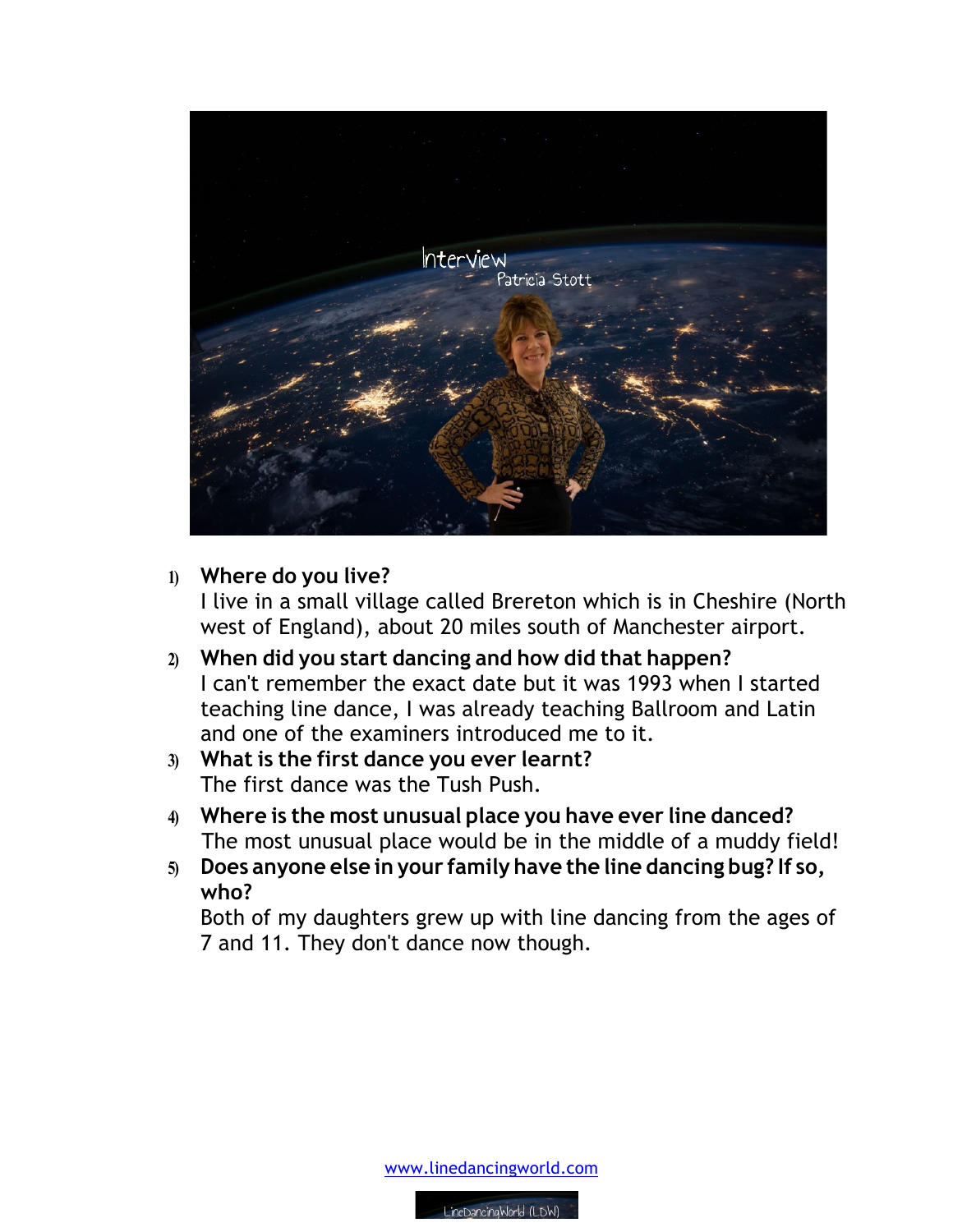

## **1) Where do you live?**

I live in a small village called Brereton which is in Cheshire (North west of England), about 20 miles south of Manchester airport.

- **2) When did you start dancing and how did that happen?** I can't remember the exact date but it was 1993 when I started teaching line dance, I was already teaching Ballroom and Latin and one of the examiners introduced me to it.
- **3) What is the first dance you ever learnt?** The first dance was the Tush Push.
- **4) Where is the most unusual place you have ever line danced?** The most unusual place would be in the middle of a muddy field!
- **5) Does anyone else in your family have the line dancing bug? If so, who?**

Both of my daughters grew up with line dancing from the ages of 7 and 11. They don't dance now though.

www.linedancingworld.com

LineDancingWorld (LDW)